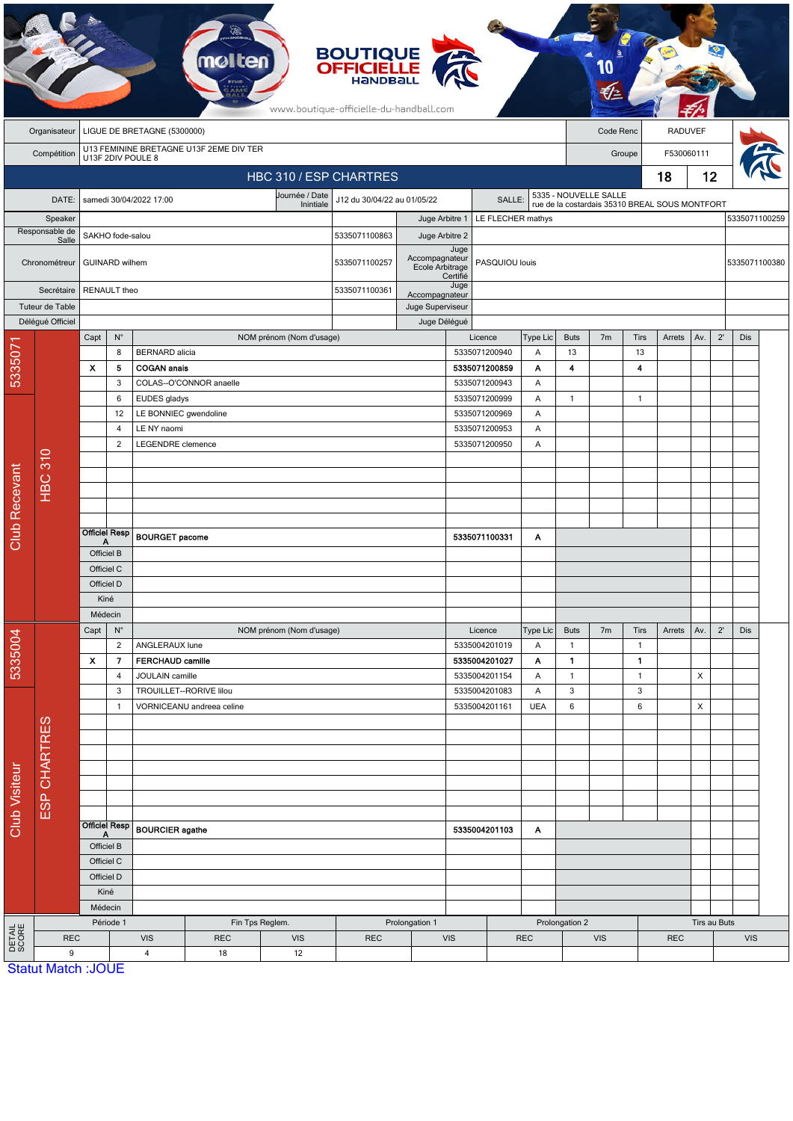|                        | <b>BOUTIQUE<br/>OFFICIELLE</b><br>www.boutique-officielle-du-handball.com |                                                              |                     |                                                                      |                           |                          |                                       |                  |                                                                         |                                |                 |                                                |                       |                      |            |     |              |               |  |
|------------------------|---------------------------------------------------------------------------|--------------------------------------------------------------|---------------------|----------------------------------------------------------------------|---------------------------|--------------------------|---------------------------------------|------------------|-------------------------------------------------------------------------|--------------------------------|-----------------|------------------------------------------------|-----------------------|----------------------|------------|-----|--------------|---------------|--|
|                        | Organisateur                                                              | LIGUE DE BRETAGNE (5300000)                                  |                     |                                                                      |                           |                          |                                       |                  |                                                                         |                                |                 | Code Renc                                      |                       | <b>RADUVEF</b>       |            |     |              |               |  |
|                        | Compétition                                                               | U13 FEMININE BRETAGNE U13F 2EME DIV TER<br>U13F 2DIV POULE 8 |                     |                                                                      |                           |                          |                                       |                  |                                                                         |                                |                 |                                                |                       | F530060111<br>Groupe |            |     |              |               |  |
|                        | HBC 310 / ESP CHARTRES                                                    |                                                              |                     |                                                                      |                           |                          |                                       |                  |                                                                         |                                |                 |                                                |                       |                      | 18         | 12  |              |               |  |
|                        | DATE:                                                                     |                                                              |                     | samedi 30/04/2022 17:00                                              |                           | Journée / Date           | J12 du 30/04/22 au 01/05/22<br>SALLE: |                  |                                                                         |                                |                 |                                                | 5335 - NOUVELLE SALLE |                      |            |     |              |               |  |
| Speaker                |                                                                           |                                                              |                     |                                                                      |                           | Inintiale                |                                       |                  | LE FLECHER mathys<br>Juge Arbitre 1                                     |                                |                 | rue de la costardais 35310 BREAL SOUS MONTFORT |                       |                      |            |     |              | 5335071100259 |  |
|                        | Responsable de<br>Salle                                                   | SAKHO fode-salou                                             |                     |                                                                      |                           |                          | 5335071100863                         | Juge Arbitre 2   |                                                                         |                                |                 |                                                |                       |                      |            |     |              |               |  |
|                        | Chronométreur                                                             | <b>GUINARD</b> wilhem                                        |                     |                                                                      |                           |                          | 5335071100257                         |                  | Juge<br>Accompagnateur<br>Ecole Arbitrage<br>PASQUIOU louis<br>Certifié |                                |                 |                                                |                       |                      |            |     |              | 5335071100380 |  |
| Secrétaire             |                                                                           |                                                              | RENAULT theo        |                                                                      |                           |                          |                                       | Accompagnateur   | Juge                                                                    |                                |                 |                                                |                       |                      |            |     |              |               |  |
|                        | Tuteur de Table                                                           |                                                              |                     |                                                                      |                           |                          |                                       | Juge Superviseur |                                                                         |                                |                 |                                                |                       |                      |            |     |              |               |  |
|                        | Déléqué Officiel                                                          | Capt                                                         | $\mathsf{N}^\circ$  |                                                                      |                           | NOM prénom (Nom d'usage) |                                       | Juge Délégué     |                                                                         | Licence                        | <b>Type Lic</b> | <b>Buts</b>                                    | 7 <sub>m</sub>        | <b>Tirs</b>          | Arrets     | Av. | $2^{\prime}$ | <b>Dis</b>    |  |
| 533507                 |                                                                           |                                                              | 8                   | <b>BERNARD</b> alicia                                                |                           |                          |                                       |                  |                                                                         | 5335071200940                  | Α               | 13                                             |                       | 13                   |            |     |              |               |  |
|                        |                                                                           | х                                                            | 5                   | <b>COGAN anals</b>                                                   |                           |                          |                                       |                  |                                                                         | 5335071200859                  | Α               | $\overline{\mathbf{4}}$                        |                       | 4                    |            |     |              |               |  |
|                        |                                                                           |                                                              | 3                   |                                                                      | COLAS--O'CONNOR anaelle   |                          |                                       |                  |                                                                         | 5335071200943                  | Α               |                                                |                       |                      |            |     |              |               |  |
|                        |                                                                           |                                                              | 6<br>12             | EUDES gladys<br>LE BONNIEC gwendoline                                |                           |                          |                                       |                  |                                                                         | 5335071200999<br>5335071200969 | Α<br>A          | $\mathbf{1}$                                   |                       | $\mathbf{1}$         |            |     |              |               |  |
|                        |                                                                           |                                                              | $\overline{4}$      | LE NY naomi                                                          |                           |                          |                                       |                  |                                                                         | 5335071200953                  | A               |                                                |                       |                      |            |     |              |               |  |
| <b>Club Recevant</b>   |                                                                           |                                                              | $\overline{2}$      | LEGENDRE clemence                                                    |                           |                          | 5335071200950                         |                  | Α                                                                       |                                |                 |                                                |                       |                      |            |     |              |               |  |
|                        |                                                                           |                                                              |                     |                                                                      |                           |                          |                                       |                  |                                                                         |                                |                 |                                                |                       |                      |            |     |              |               |  |
|                        | <b>HBC 310</b>                                                            |                                                              |                     |                                                                      |                           |                          |                                       |                  |                                                                         |                                |                 |                                                |                       |                      |            |     |              |               |  |
|                        |                                                                           |                                                              |                     |                                                                      |                           |                          |                                       |                  |                                                                         |                                |                 |                                                |                       |                      |            |     |              |               |  |
|                        |                                                                           |                                                              |                     |                                                                      |                           |                          |                                       |                  |                                                                         |                                |                 |                                                |                       |                      |            |     |              |               |  |
|                        |                                                                           | <b>Officiel Resp</b><br>Α                                    |                     | <b>BOURGET pacome</b>                                                |                           |                          |                                       |                  |                                                                         | 5335071100331                  | Α               |                                                |                       |                      |            |     |              |               |  |
|                        |                                                                           | Officiel B                                                   |                     |                                                                      |                           |                          |                                       |                  |                                                                         |                                |                 |                                                |                       |                      |            |     |              |               |  |
|                        |                                                                           | Officiel C                                                   |                     |                                                                      |                           |                          |                                       |                  |                                                                         |                                |                 |                                                |                       |                      |            |     |              |               |  |
|                        |                                                                           | Officiel D<br>Kiné                                           |                     |                                                                      |                           |                          |                                       |                  |                                                                         |                                |                 |                                                |                       |                      |            |     |              |               |  |
|                        |                                                                           | Médecin                                                      |                     |                                                                      |                           |                          |                                       |                  |                                                                         |                                |                 |                                                |                       |                      |            |     |              |               |  |
|                        |                                                                           | Capt                                                         | $\mathsf{N}^\circ$  |                                                                      |                           | NOM prénom (Nom d'usage) |                                       |                  |                                                                         | Licence                        | Type Lic        | <b>Buts</b>                                    | 7m                    | Tirs                 | Arrets     | Av. | $2^{\prime}$ | Dis           |  |
| 5335004                |                                                                           |                                                              | $\overline{2}$      | ANGLERAUX lune                                                       |                           |                          |                                       |                  |                                                                         | 5335004201019                  | Α               | $\mathbf{1}$                                   |                       | $\mathbf{1}$         |            |     |              |               |  |
|                        |                                                                           | $\pmb{\chi}$                                                 | 7                   | <b>FERCHAUD camille</b>                                              |                           |                          |                                       |                  |                                                                         | 5335004201027                  | Α               | $\mathbf{1}$                                   |                       | 1                    |            |     |              |               |  |
| <b>Club Visiteur</b>   |                                                                           |                                                              | $\overline{4}$<br>3 | JOULAIN camille                                                      | TROUILLET--RORIVE lilou   |                          |                                       |                  |                                                                         | 5335004201154<br>5335004201083 | Α<br>Α          | $\mathbf{1}$<br>3                              |                       | $\mathbf{1}$<br>3    |            | X   |              |               |  |
|                        | ESP CHARTRES                                                              |                                                              | $\mathbf{1}$        |                                                                      | VORNICEANU andreea celine |                          |                                       |                  |                                                                         | 5335004201161                  | <b>UEA</b>      | 6                                              |                       | $\boldsymbol{6}$     |            | X   |              |               |  |
|                        |                                                                           |                                                              |                     |                                                                      |                           |                          |                                       |                  |                                                                         |                                |                 |                                                |                       |                      |            |     |              |               |  |
|                        |                                                                           |                                                              |                     |                                                                      |                           |                          |                                       |                  |                                                                         |                                |                 |                                                |                       |                      |            |     |              |               |  |
|                        |                                                                           |                                                              |                     |                                                                      |                           |                          |                                       |                  |                                                                         |                                |                 |                                                |                       |                      |            |     |              |               |  |
|                        |                                                                           |                                                              |                     |                                                                      |                           |                          |                                       |                  |                                                                         |                                |                 |                                                |                       |                      |            |     |              |               |  |
|                        |                                                                           |                                                              |                     |                                                                      |                           |                          |                                       |                  |                                                                         |                                |                 |                                                |                       |                      |            |     |              |               |  |
|                        |                                                                           |                                                              |                     |                                                                      |                           |                          |                                       |                  |                                                                         |                                |                 |                                                |                       |                      |            |     |              |               |  |
|                        |                                                                           | <b>Officiel Resp</b>                                         |                     | <b>BOURCIER</b> agathe                                               |                           |                          | 5335004201103<br>Α                    |                  |                                                                         |                                |                 |                                                |                       |                      |            |     |              |               |  |
|                        |                                                                           | Officiel B                                                   |                     |                                                                      |                           |                          |                                       |                  |                                                                         |                                |                 |                                                |                       |                      |            |     |              |               |  |
|                        |                                                                           | Officiel C<br>Officiel D                                     |                     |                                                                      |                           |                          |                                       |                  |                                                                         |                                |                 |                                                |                       |                      |            |     |              |               |  |
|                        |                                                                           | Kiné                                                         |                     |                                                                      |                           |                          |                                       |                  |                                                                         |                                |                 |                                                |                       |                      |            |     |              |               |  |
|                        |                                                                           | Médecin                                                      |                     |                                                                      |                           |                          |                                       |                  |                                                                         |                                |                 |                                                |                       |                      |            |     |              |               |  |
|                        |                                                                           | Période 1                                                    |                     |                                                                      |                           | Fin Tps Reglem.          | Prolongation 1                        |                  |                                                                         |                                |                 | Prolongation 2                                 |                       |                      |            |     | Tirs au Buts |               |  |
| <b>DETAIL</b><br>SCORE | 9                                                                         | <b>REC</b>                                                   |                     | <b>VIS</b><br><b>REC</b><br><b>VIS</b><br>$\overline{4}$<br>18<br>12 |                           | <b>REC</b><br><b>VIS</b> |                                       |                  | <b>REC</b>                                                              |                                |                 | <b>VIS</b><br><b>REC</b>                       |                       |                      | <b>VIS</b> |     |              |               |  |
|                        | <b>Statut Match: JOUE</b>                                                 |                                                              |                     |                                                                      |                           |                          |                                       |                  |                                                                         |                                |                 |                                                |                       |                      |            |     |              |               |  |